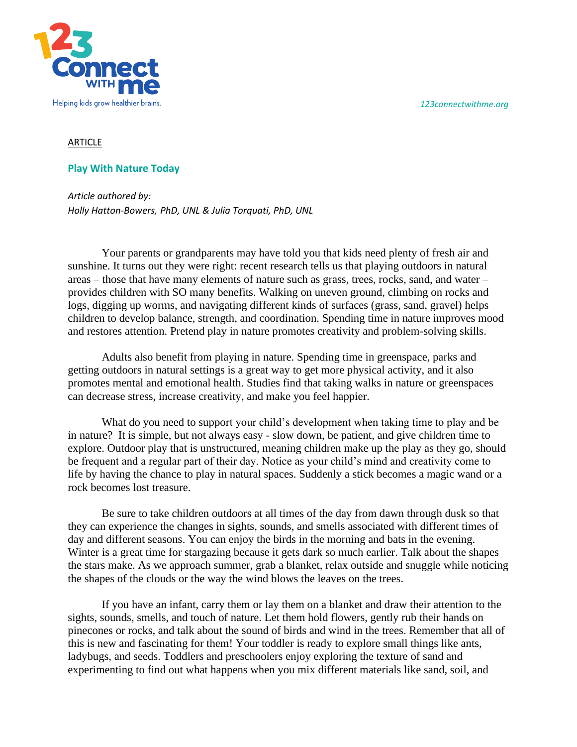*123connectwithme.org*



## ARTICLE

## **Play With Nature Today**

*Article authored by: Holly Hatton-Bowers, PhD, UNL & Julia Torquati, PhD, UNL*

Your parents or grandparents may have told you that kids need plenty of fresh air and sunshine. It turns out they were right: recent research tells us that playing outdoors in natural areas – those that have many elements of nature such as grass, trees, rocks, sand, and water – provides children with SO many benefits. Walking on uneven ground, climbing on rocks and logs, digging up worms, and navigating different kinds of surfaces (grass, sand, gravel) helps children to develop balance, strength, and coordination. Spending time in nature improves mood and restores attention. Pretend play in nature promotes creativity and problem-solving skills.

Adults also benefit from playing in nature. Spending time in greenspace, parks and getting outdoors in natural settings is a great way to get more physical activity, and it also promotes mental and emotional health. Studies find that taking walks in nature or greenspaces can decrease stress, increase creativity, and make you feel happier.

What do you need to support your child's development when taking time to play and be in nature? It is simple, but not always easy - slow down, be patient, and give children time to explore. Outdoor play that is unstructured, meaning children make up the play as they go, should be frequent and a regular part of their day. Notice as your child's mind and creativity come to life by having the chance to play in natural spaces. Suddenly a stick becomes a magic wand or a rock becomes lost treasure.

Be sure to take children outdoors at all times of the day from dawn through dusk so that they can experience the changes in sights, sounds, and smells associated with different times of day and different seasons. You can enjoy the birds in the morning and bats in the evening. Winter is a great time for stargazing because it gets dark so much earlier. Talk about the shapes the stars make. As we approach summer, grab a blanket, relax outside and snuggle while noticing the shapes of the clouds or the way the wind blows the leaves on the trees.

If you have an infant, carry them or lay them on a blanket and draw their attention to the sights, sounds, smells, and touch of nature. Let them hold flowers, gently rub their hands on pinecones or rocks, and talk about the sound of birds and wind in the trees. Remember that all of this is new and fascinating for them! Your toddler is ready to explore small things like ants, ladybugs, and seeds. Toddlers and preschoolers enjoy exploring the texture of sand and experimenting to find out what happens when you mix different materials like sand, soil, and